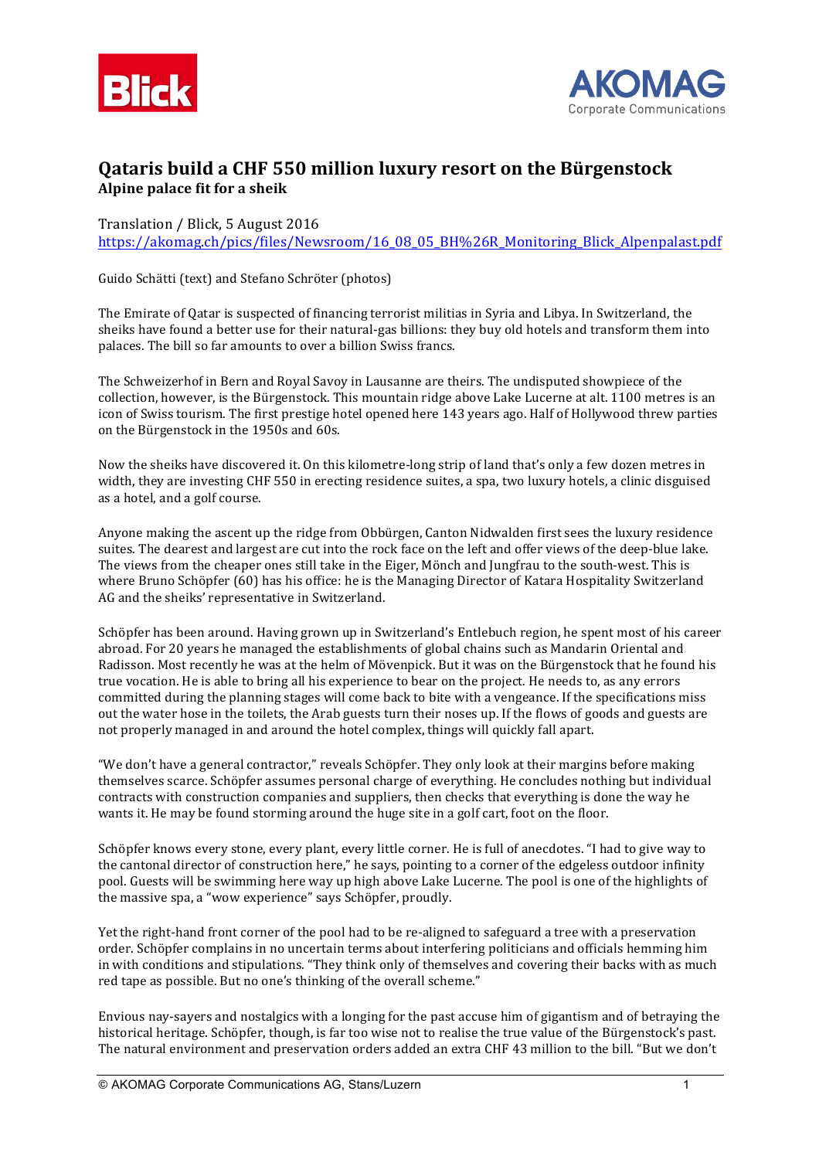



## **Qataris build a CHF 550 million luxury resort on the Bürgenstock Alpine palace fit for a sheik**

## Translation / Blick, 5 August 2016

https://akomag.ch/pics/files/Newsroom/16\_08\_05\_BH%26R\_Monitoring\_Blick\_Alpenpalast.pdf

Guido Schätti (text) and Stefano Schröter (photos)

The Emirate of Qatar is suspected of financing terrorist militias in Syria and Libya. In Switzerland, the sheiks have found a better use for their natural-gas billions: they buy old hotels and transform them into palaces. The bill so far amounts to over a billion Swiss francs.

The Schweizerhof in Bern and Royal Savoy in Lausanne are theirs. The undisputed showpiece of the collection, however, is the Bürgenstock. This mountain ridge above Lake Lucerne at alt. 1100 metres is an icon of Swiss tourism. The first prestige hotel opened here 143 years ago. Half of Hollywood threw parties on the Bürgenstock in the 1950s and 60s.

Now the sheiks have discovered it. On this kilometre-long strip of land that's only a few dozen metres in width, they are investing CHF 550 in erecting residence suites, a spa, two luxury hotels, a clinic disguised as a hotel, and a golf course.

Anyone making the ascent up the ridge from Obbürgen, Canton Nidwalden first sees the luxury residence suites. The dearest and largest are cut into the rock face on the left and offer views of the deep-blue lake. The views from the cheaper ones still take in the Eiger, Mönch and Jungfrau to the south-west. This is where Bruno Schöpfer (60) has his office: he is the Managing Director of Katara Hospitality Switzerland AG and the sheiks' representative in Switzerland.

Schöpfer has been around. Having grown up in Switzerland's Entlebuch region, he spent most of his career abroad. For 20 years he managed the establishments of global chains such as Mandarin Oriental and Radisson. Most recently he was at the helm of Mövenpick. But it was on the Bürgenstock that he found his true vocation. He is able to bring all his experience to bear on the project. He needs to, as any errors committed during the planning stages will come back to bite with a vengeance. If the specifications miss out the water hose in the toilets, the Arab guests turn their noses up. If the flows of goods and guests are not properly managed in and around the hotel complex, things will quickly fall apart.

"We don't have a general contractor," reveals Schöpfer. They only look at their margins before making themselves scarce. Schöpfer assumes personal charge of everything. He concludes nothing but individual contracts with construction companies and suppliers, then checks that everything is done the way he wants it. He may be found storming around the huge site in a golf cart, foot on the floor.

Schöpfer knows every stone, every plant, every little corner. He is full of anecdotes. "I had to give way to the cantonal director of construction here," he says, pointing to a corner of the edgeless outdoor infinity pool. Guests will be swimming here way up high above Lake Lucerne. The pool is one of the highlights of the massive spa, a "wow experience" says Schöpfer, proudly.

Yet the right-hand front corner of the pool had to be re-aligned to safeguard a tree with a preservation order. Schöpfer complains in no uncertain terms about interfering politicians and officials hemming him in with conditions and stipulations. "They think only of themselves and covering their backs with as much red tape as possible. But no one's thinking of the overall scheme."

Envious nay-sayers and nostalgics with a longing for the past accuse him of gigantism and of betraying the historical heritage. Schöpfer, though, is far too wise not to realise the true value of the Bürgenstock's past. The natural environment and preservation orders added an extra CHF 43 million to the bill. "But we don't